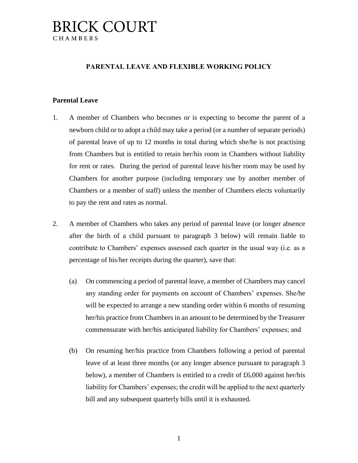## **BRICK COURT** CHAMBERS

### **PARENTAL LEAVE AND FLEXIBLE WORKING POLICY**

#### **Parental Leave**

- 1. A member of Chambers who becomes or is expecting to become the parent of a newborn child or to adopt a child may take a period (or a number of separate periods) of parental leave of up to 12 months in total during which she/he is not practising from Chambers but is entitled to retain her/his room in Chambers without liability for rent or rates. During the period of parental leave his/her room may be used by Chambers for another purpose (including temporary use by another member of Chambers or a member of staff) unless the member of Chambers elects voluntarily to pay the rent and rates as normal.
- 2. A member of Chambers who takes any period of parental leave (or longer absence after the birth of a child pursuant to paragraph 3 below) will remain liable to contribute to Chambers' expenses assessed each quarter in the usual way (i.e. as a percentage of his/her receipts during the quarter), save that:
	- (a) On commencing a period of parental leave, a member of Chambers may cancel any standing order for payments on account of Chambers' expenses. She/he will be expected to arrange a new standing order within 6 months of resuming her/his practice from Chambers in an amount to be determined by the Treasurer commensurate with her/his anticipated liability for Chambers' expenses; and
	- (b) On resuming her/his practice from Chambers following a period of parental leave of at least three months (or any longer absence pursuant to paragraph 3 below), a member of Chambers is entitled to a credit of  $£6,000$  against her/his liability for Chambers' expenses; the credit will be applied to the next quarterly bill and any subsequent quarterly bills until it is exhausted.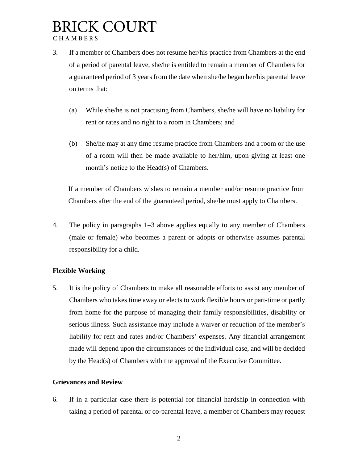# **BRICK COURT** CHAMBERS

- 3. If a member of Chambers does not resume her/his practice from Chambers at the end of a period of parental leave, she/he is entitled to remain a member of Chambers for a guaranteed period of 3 years from the date when she/he began her/his parental leave on terms that:
	- (a) While she/he is not practising from Chambers, she/he will have no liability for rent or rates and no right to a room in Chambers; and
	- (b) She/he may at any time resume practice from Chambers and a room or the use of a room will then be made available to her/him, upon giving at least one month's notice to the Head(s) of Chambers.

If a member of Chambers wishes to remain a member and/or resume practice from Chambers after the end of the guaranteed period, she/he must apply to Chambers.

4. The policy in paragraphs 1–3 above applies equally to any member of Chambers (male or female) who becomes a parent or adopts or otherwise assumes parental responsibility for a child.

## **Flexible Working**

5. It is the policy of Chambers to make all reasonable efforts to assist any member of Chambers who takes time away or elects to work flexible hours or part-time or partly from home for the purpose of managing their family responsibilities, disability or serious illness. Such assistance may include a waiver or reduction of the member's liability for rent and rates and/or Chambers' expenses. Any financial arrangement made will depend upon the circumstances of the individual case, and will be decided by the Head(s) of Chambers with the approval of the Executive Committee.

### **Grievances and Review**

6. If in a particular case there is potential for financial hardship in connection with taking a period of parental or co-parental leave, a member of Chambers may request